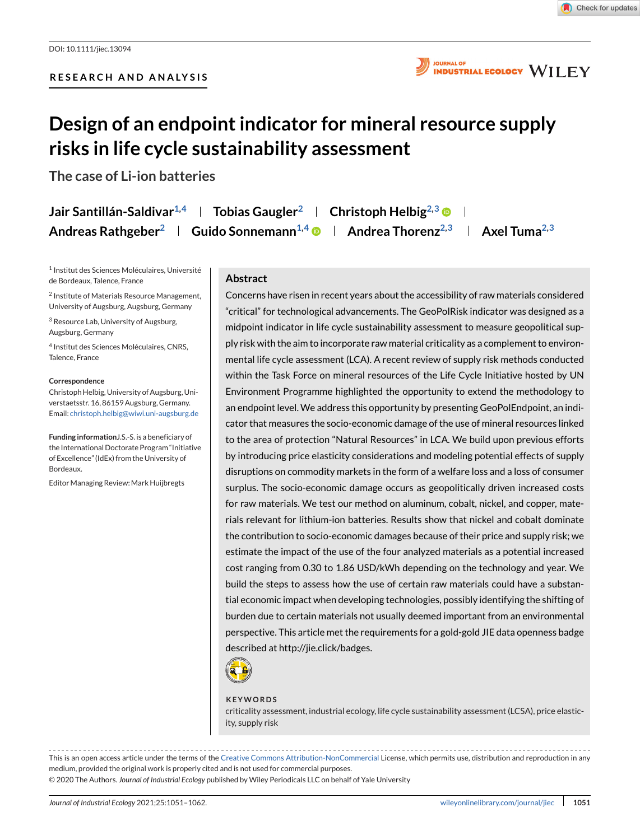

**JOURNAL OF INDUSTRIAL ECOLOGY WILEY** 

# **Design of an endpoint indicator for mineral resource supply risks in life cycle sustainability assessment**

**The case of Li-ion batteries**

| Jair Santillán-Saldivar <sup>1,4</sup> | Tobias Gaugler $^{\rm 2}$              | Christoph Helbig $^{2,3}$ $\blacksquare$           |  |
|----------------------------------------|----------------------------------------|----------------------------------------------------|--|
| Andreas Rathgeber <sup>2</sup>         | <b>Guido Sonnemann<sup>1,4</sup> ®</b> | Andrea Thorenz $^{2,3}$ $\quad$ Axel Tuma $^{2,3}$ |  |

<sup>1</sup> Institut des Sciences Moléculaires, Université de Bordeaux, Talence, France

<sup>2</sup> Institute of Materials Resource Management, University of Augsburg, Augsburg, Germany

<sup>3</sup> Resource Lab, University of Augsburg, Augsburg, Germany

<sup>4</sup> Institut des Sciences Moléculaires, CNRS, Talence, France

#### **Correspondence**

Christoph Helbig, University of Augsburg, Universtaetsstr. 16, 86159 Augsburg, Germany. Email: [christoph.helbig@wiwi.uni-augsburg.de](mailto:christoph.helbig@wiwi.uni-augsburg.de)

**Funding information**J.S.-S. is a beneficiary of the International Doctorate Program "Initiative of Excellence" (IdEx) from the University of Bordeaux.

Editor Managing Review: Mark Huijbregts

## **Abstract**

Concerns have risen in recent years about the accessibility of raw materials considered "critical" for technological advancements. The GeoPolRisk indicator was designed as a midpoint indicator in life cycle sustainability assessment to measure geopolitical supply risk with the aim to incorporate raw material criticality as a complement to environmental life cycle assessment (LCA). A recent review of supply risk methods conducted within the Task Force on mineral resources of the Life Cycle Initiative hosted by UN Environment Programme highlighted the opportunity to extend the methodology to an endpoint level. We address this opportunity by presenting GeoPolEndpoint, an indicator that measures the socio-economic damage of the use of mineral resources linked to the area of protection "Natural Resources" in LCA. We build upon previous efforts by introducing price elasticity considerations and modeling potential effects of supply disruptions on commodity markets in the form of a welfare loss and a loss of consumer surplus. The socio-economic damage occurs as geopolitically driven increased costs for raw materials. We test our method on aluminum, cobalt, nickel, and copper, materials relevant for lithium-ion batteries. Results show that nickel and cobalt dominate the contribution to socio-economic damages because of their price and supply risk; we estimate the impact of the use of the four analyzed materials as a potential increased cost ranging from 0.30 to 1.86 USD/kWh depending on the technology and year. We build the steps to assess how the use of certain raw materials could have a substantial economic impact when developing technologies, possibly identifying the shifting of burden due to certain materials not usually deemed important from an environmental perspective. This article met the requirements for a gold-gold JIE data openness badge described at http://jie.click/badges.



#### **KEYWORDS**

criticality assessment, industrial ecology, life cycle sustainability assessment (LCSA), price elasticity, supply risk

This is an open access article under the terms of the [Creative Commons Attribution-NonCommercial](http://creativecommons.org/licenses/by-nc/4.0/) License, which permits use, distribution and reproduction in any medium, provided the original work is properly cited and is not used for commercial purposes. © 2020 The Authors. *Journal of Industrial Ecology* published by Wiley Periodicals LLC on behalf of Yale University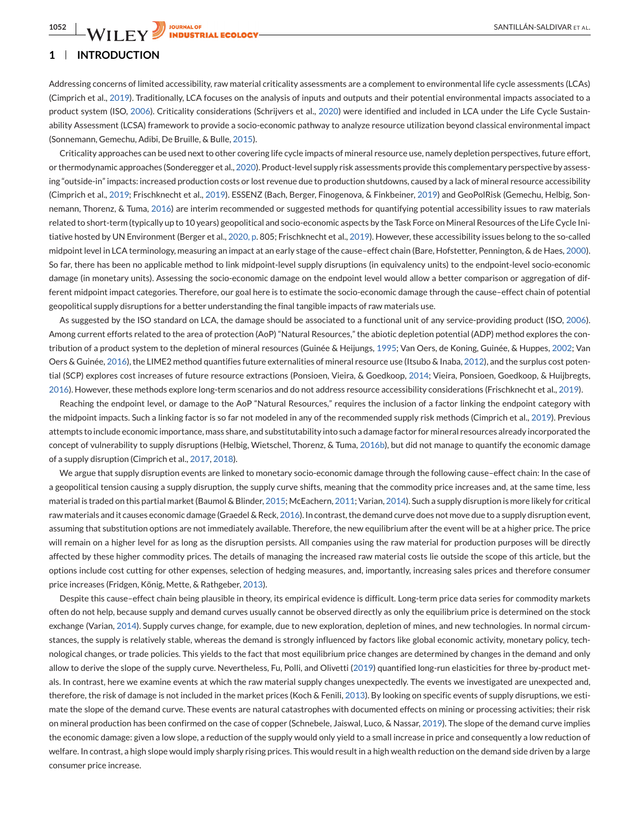# **1 INTRODUCTION**

Addressing concerns of limited accessibility, raw material criticality assessments are a complement to environmental life cycle assessments (LCAs) (Cimprich et al., [2019\)](#page-10-0). Traditionally, LCA focuses on the analysis of inputs and outputs and their potential environmental impacts associated to a product system (ISO, [2006\)](#page-10-0). Criticality considerations (Schrijvers et al., [2020\)](#page-11-0) were identified and included in LCA under the Life Cycle Sustainability Assessment (LCSA) framework to provide a socio-economic pathway to analyze resource utilization beyond classical environmental impact (Sonnemann, Gemechu, Adibi, De Bruille, & Bulle, [2015\)](#page-11-0).

Criticality approaches can be used next to other covering life cycle impacts of mineral resource use, namely depletion perspectives, future effort, or thermodynamic approaches (Sonderegger et al., [2020\)](#page-11-0). Product-level supply risk assessments provide this complementary perspective by assessing "outside-in" impacts: increased production costs or lost revenue due to production shutdowns, caused by a lack of mineral resource accessibility (Cimprich et al., [2019;](#page-10-0) Frischknecht et al., [2019\)](#page-10-0). ESSENZ (Bach, Berger, Finogenova, & Finkbeiner, [2019\)](#page-10-0) and GeoPolRisk (Gemechu, Helbig, Sonnemann, Thorenz, & Tuma, [2016\)](#page-10-0) are interim recommended or suggested methods for quantifying potential accessibility issues to raw materials related to short-term (typically up to 10 years) geopolitical and socio-economic aspects by the Task Force on Mineral Resources of the Life Cycle Initiative hosted by UN Environment (Berger et al., [2020, p.](#page-10-0) 805; Frischknecht et al., [2019\)](#page-10-0). However, these accessibility issues belong to the so-called midpoint level in LCA terminology, measuring an impact at an early stage of the cause–effect chain (Bare, Hofstetter, Pennington, & de Haes, [2000\)](#page-10-0). So far, there has been no applicable method to link midpoint-level supply disruptions (in equivalency units) to the endpoint-level socio-economic damage (in monetary units). Assessing the socio-economic damage on the endpoint level would allow a better comparison or aggregation of different midpoint impact categories. Therefore, our goal here is to estimate the socio-economic damage through the cause–effect chain of potential geopolitical supply disruptions for a better understanding the final tangible impacts of raw materials use.

As suggested by the ISO standard on LCA, the damage should be associated to a functional unit of any service-providing product (ISO, [2006\)](#page-10-0). Among current efforts related to the area of protection (AoP) "Natural Resources," the abiotic depletion potential (ADP) method explores the contribution of a product system to the depletion of mineral resources (Guinée & Heijungs, [1995;](#page-10-0) Van Oers, de Koning, Guinée, & Huppes, [2002;](#page-11-0) Van Oers & Guinée, [2016\)](#page-11-0), the LIME2 method quantifies future externalities of mineral resource use (Itsubo & Inaba, [2012\)](#page-10-0), and the surplus cost potential (SCP) explores cost increases of future resource extractions (Ponsioen, Vieira, & Goedkoop, [2014;](#page-10-0) Vieira, Ponsioen, Goedkoop, & Huijbregts, [2016\)](#page-11-0). However, these methods explore long-term scenarios and do not address resource accessibility considerations (Frischknecht et al., [2019\)](#page-10-0).

Reaching the endpoint level, or damage to the AoP "Natural Resources," requires the inclusion of a factor linking the endpoint category with the midpoint impacts. Such a linking factor is so far not modeled in any of the recommended supply risk methods (Cimprich et al., [2019\)](#page-10-0). Previous attempts to include economic importance, mass share, and substitutability into such a damage factor for mineral resources already incorporated the concept of vulnerability to supply disruptions (Helbig, Wietschel, Thorenz, & Tuma, [2016b\)](#page-10-0), but did not manage to quantify the economic damage of a supply disruption (Cimprich et al., [2017,](#page-10-0) [2018\)](#page-10-0).

We argue that supply disruption events are linked to monetary socio-economic damage through the following cause–effect chain: In the case of a geopolitical tension causing a supply disruption, the supply curve shifts, meaning that the commodity price increases and, at the same time, less material is traded on this partial market (Baumol & Blinder, [2015;](#page-10-0) McEachern, [2011;](#page-10-0) Varian, [2014\)](#page-11-0). Such a supply disruption is more likely for critical raw materials and it causes economic damage (Graedel & Reck, [2016\)](#page-10-0). In contrast, the demand curve does not move due to a supply disruption event, assuming that substitution options are not immediately available. Therefore, the new equilibrium after the event will be at a higher price. The price will remain on a higher level for as long as the disruption persists. All companies using the raw material for production purposes will be directly affected by these higher commodity prices. The details of managing the increased raw material costs lie outside the scope of this article, but the options include cost cutting for other expenses, selection of hedging measures, and, importantly, increasing sales prices and therefore consumer price increases (Fridgen, König, Mette, & Rathgeber, [2013\)](#page-10-0).

Despite this cause–effect chain being plausible in theory, its empirical evidence is difficult. Long-term price data series for commodity markets often do not help, because supply and demand curves usually cannot be observed directly as only the equilibrium price is determined on the stock exchange (Varian, [2014\)](#page-11-0). Supply curves change, for example, due to new exploration, depletion of mines, and new technologies. In normal circumstances, the supply is relatively stable, whereas the demand is strongly influenced by factors like global economic activity, monetary policy, technological changes, or trade policies. This yields to the fact that most equilibrium price changes are determined by changes in the demand and only allow to derive the slope of the supply curve. Nevertheless, Fu, Polli, and Olivetti [\(2019\)](#page-10-0) quantified long-run elasticities for three by-product metals. In contrast, here we examine events at which the raw material supply changes unexpectedly. The events we investigated are unexpected and, therefore, the risk of damage is not included in the market prices (Koch & Fenili, [2013\)](#page-10-0). By looking on specific events of supply disruptions, we estimate the slope of the demand curve. These events are natural catastrophes with documented effects on mining or processing activities; their risk on mineral production has been confirmed on the case of copper (Schnebele, Jaiswal, Luco, & Nassar, [2019\)](#page-11-0). The slope of the demand curve implies the economic damage: given a low slope, a reduction of the supply would only yield to a small increase in price and consequently a low reduction of welfare. In contrast, a high slope would imply sharply rising prices. This would result in a high wealth reduction on the demand side driven by a large consumer price increase.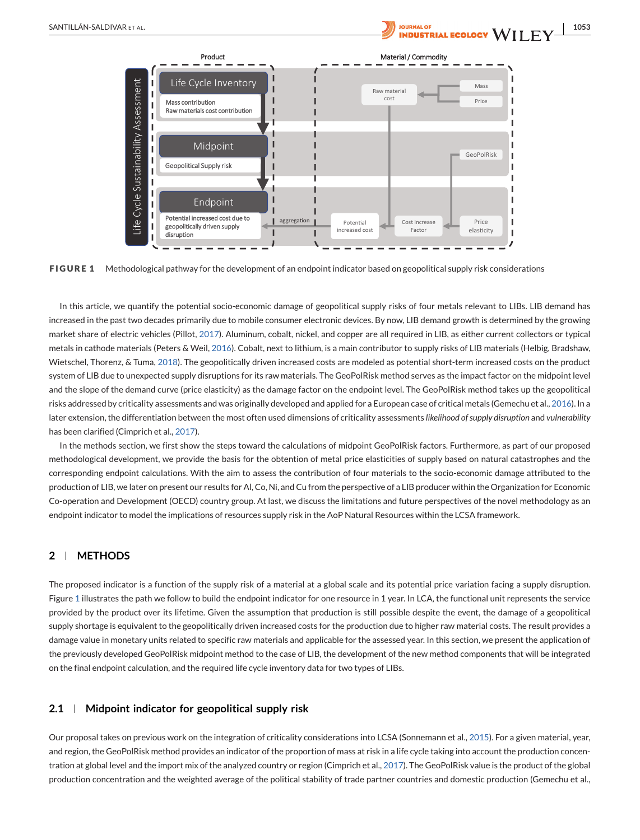t ne

mssess

Life Cycle Sustainability A

geopolitically driven supply

disruption

SANTILLÁN-SALDIVAR ET AL. **1053**<br>Al**i pourral de la colocy WII FV** Product **Material / Commodity** Material / Commodity Life Cycle Inventory Mass I Raw material cost Price Mass contribution I Raw materials cost contribution I Midpoint GeoPolRisk П Geopolitical Supply risk I I Endpoint I Potential increased cost due to

Potential increased cost

Price elasticity I

 $\blacksquare$ 

Cost Increase Factor

**FIGURE 1** Methodological pathway for the development of an endpoint indicator based on geopolitical supply risk considerations

aggregation

I

In this article, we quantify the potential socio-economic damage of geopolitical supply risks of four metals relevant to LIBs. LIB demand has increased in the past two decades primarily due to mobile consumer electronic devices. By now, LIB demand growth is determined by the growing market share of electric vehicles (Pillot, [2017\)](#page-10-0). Aluminum, cobalt, nickel, and copper are all required in LIB, as either current collectors or typical metals in cathode materials (Peters & Weil, [2016\)](#page-10-0). Cobalt, next to lithium, is a main contributor to supply risks of LIB materials (Helbig, Bradshaw, Wietschel, Thorenz, & Tuma, [2018\)](#page-10-0). The geopolitically driven increased costs are modeled as potential short-term increased costs on the product system of LIB due to unexpected supply disruptions for its raw materials. The GeoPolRisk method serves as the impact factor on the midpoint level and the slope of the demand curve (price elasticity) as the damage factor on the endpoint level. The GeoPolRisk method takes up the geopolitical risks addressed by criticality assessments and was originally developed and applied for a European case of critical metals (Gemechu et al., [2016\)](#page-10-0). In a later extension, the differentiation between the most often used dimensions of criticality assessments *likelihood of supply disruption* and *vulnerability* has been clarified (Cimprich et al., [2017\)](#page-10-0).

In the methods section, we first show the steps toward the calculations of midpoint GeoPolRisk factors. Furthermore, as part of our proposed methodological development, we provide the basis for the obtention of metal price elasticities of supply based on natural catastrophes and the corresponding endpoint calculations. With the aim to assess the contribution of four materials to the socio-economic damage attributed to the production of LIB, we later on present our results for Al, Co, Ni, and Cu from the perspective of a LIB producer within the Organization for Economic Co-operation and Development (OECD) country group. At last, we discuss the limitations and future perspectives of the novel methodology as an endpoint indicator to model the implications of resources supply risk in the AoP Natural Resources within the LCSA framework.

## **2 METHODS**

The proposed indicator is a function of the supply risk of a material at a global scale and its potential price variation facing a supply disruption. Figure 1 illustrates the path we follow to build the endpoint indicator for one resource in 1 year. In LCA, the functional unit represents the service provided by the product over its lifetime. Given the assumption that production is still possible despite the event, the damage of a geopolitical supply shortage is equivalent to the geopolitically driven increased costs for the production due to higher raw material costs. The result provides a damage value in monetary units related to specific raw materials and applicable for the assessed year. In this section, we present the application of the previously developed GeoPolRisk midpoint method to the case of LIB, the development of the new method components that will be integrated on the final endpoint calculation, and the required life cycle inventory data for two types of LIBs.

## **2.1 Midpoint indicator for geopolitical supply risk**

Our proposal takes on previous work on the integration of criticality considerations into LCSA (Sonnemann et al., [2015\)](#page-11-0). For a given material, year, and region, the GeoPolRisk method provides an indicator of the proportion of mass at risk in a life cycle taking into account the production concentration at global level and the import mix of the analyzed country or region (Cimprich et al., [2017\)](#page-10-0). The GeoPolRisk value is the product of the global production concentration and the weighted average of the political stability of trade partner countries and domestic production (Gemechu et al.,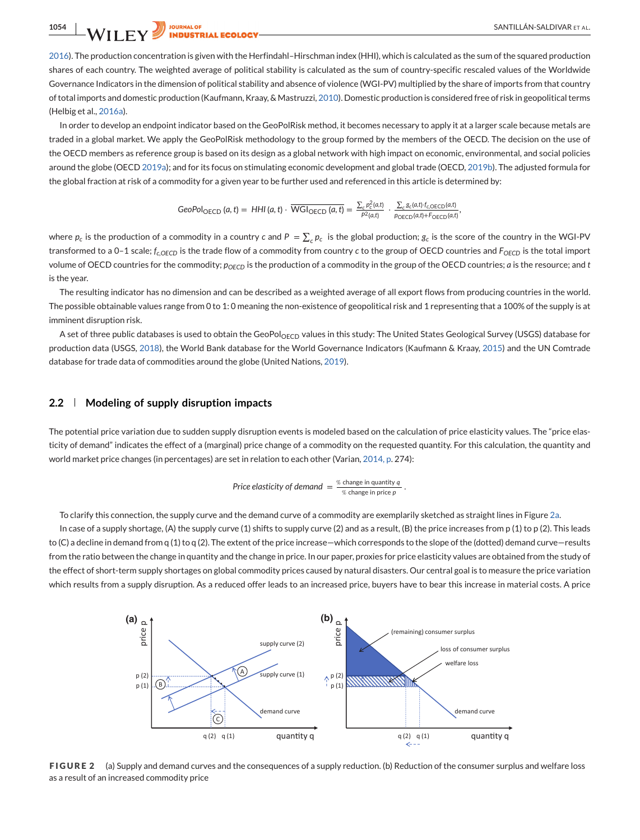<span id="page-3-0"></span>[2016\)](#page-10-0). The production concentration is given with the Herfindahl–Hirschman index (HHI), which is calculated as the sum of the squared production shares of each country. The weighted average of political stability is calculated as the sum of country-specific rescaled values of the Worldwide Governance Indicators in the dimension of political stability and absence of violence (WGI-PV) multiplied by the share of imports from that country of total imports and domestic production (Kaufmann, Kraay, & Mastruzzi, [2010\)](#page-10-0). Domestic production is considered free of risk in geopolitical terms (Helbig et al., [2016a\)](#page-10-0).

In order to develop an endpoint indicator based on the GeoPolRisk method, it becomes necessary to apply it at a larger scale because metals are traded in a global market. We apply the GeoPolRisk methodology to the group formed by the members of the OECD. The decision on the use of the OECD members as reference group is based on its design as a global network with high impact on economic, environmental, and social policies around the globe (OECD [2019a\)](#page-10-0); and for its focus on stimulating economic development and global trade (OECD, [2019b\)](#page-10-0). The adjusted formula for the global fraction at risk of a commodity for a given year to be further used and referenced in this article is determined by:

$$
GeoPol_{OECD}(a,t) = HHI(a,t) \cdot \overline{WGl_{OECD}(a,t)} = \frac{\sum_{c} p_c^2(a,t)}{P^2(a,t)} \cdot \frac{\sum_{c} g_c(a,t) \cdot f_{c,OECD}(a,t)}{p_{OECD}(a,t) + F_{OECD}(a,t)},
$$

where  $p_c$  is the production of a commodity in a country  $c$  and  $P=\sum_c p_c$  is the global production;  $g_c$  is the score of the country in the WGI-PV transformed to a 0-1 scale; *f<sub>cOECD</sub>* is the trade flow of a commodity from country *c* to the group of OECD countries and *F<sub>OECD</sub>* is the total import volume of OECD countries for the commodity;  $p_{OECD}$  is the production of a commodity in the group of the OECD countries; *a* is the resource; and *t* is the year.

The resulting indicator has no dimension and can be described as a weighted average of all export flows from producing countries in the world. The possible obtainable values range from 0 to 1: 0 meaning the non-existence of geopolitical risk and 1 representing that a 100% of the supply is at imminent disruption risk.

A set of three public databases is used to obtain the GeoPol<sub>OECD</sub> values in this study: The United States Geological Survey (USGS) database for production data (USGS, [2018\)](#page-11-0), the World Bank database for the World Governance Indicators (Kaufmann & Kraay, [2015\)](#page-10-0) and the UN Comtrade database for trade data of commodities around the globe (United Nations, [2019\)](#page-11-0).

## **2.2 Modeling of supply disruption impacts**

The potential price variation due to sudden supply disruption events is modeled based on the calculation of price elasticity values. The "price elasticity of demand" indicates the effect of a (marginal) price change of a commodity on the requested quantity. For this calculation, the quantity and world market price changes (in percentages) are set in relation to each other (Varian, [2014, p.](#page-11-0) 274):

Price elasticity of demand = 
$$
\frac{\% \text{ change in quantity } q}{\% \text{ change in price } p}
$$
.

To clarify this connection, the supply curve and the demand curve of a commodity are exemplarily sketched as straight lines in Figure 2a.

In case of a supply shortage, (A) the supply curve (1) shifts to supply curve (2) and as a result, (B) the price increases from p (1) to p (2). This leads to (C) a decline in demand from q (1) to q (2). The extent of the price increase—which corresponds to the slope of the (dotted) demand curve—results from the ratio between the change in quantity and the change in price. In our paper, proxies for price elasticity values are obtained from the study of the effect of short-term supply shortages on global commodity prices caused by natural disasters. Our central goal is to measure the price variation which results from a supply disruption. As a reduced offer leads to an increased price, buyers have to bear this increase in material costs. A price



**FIGURE 2** (a) Supply and demand curves and the consequences of a supply reduction. (b) Reduction of the consumer surplus and welfare loss as a result of an increased commodity price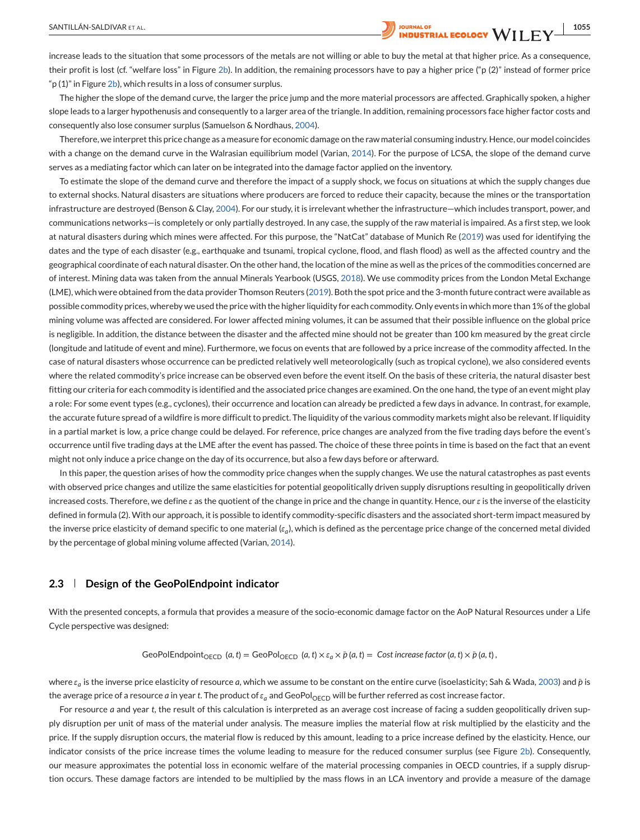SANTILLÁN-SALDIVAR ET AL. **1968 ANTILLÁN-SALDIVAR ET AL.** 1968 ANTILLÁN-SALDIVAR ET AL.

increase leads to the situation that some processors of the metals are not willing or able to buy the metal at that higher price. As a consequence, their profit is lost (cf. "welfare loss" in Figure [2b\)](#page-3-0). In addition, the remaining processors have to pay a higher price ("p (2)" instead of former price " $p(1)$ " in Figure [2b\)](#page-3-0), which results in a loss of consumer surplus.

The higher the slope of the demand curve, the larger the price jump and the more material processors are affected. Graphically spoken, a higher slope leads to a larger hypothenusis and consequently to a larger area of the triangle. In addition, remaining processors face higher factor costs and consequently also lose consumer surplus (Samuelson & Nordhaus, [2004\)](#page-11-0).

Therefore, we interpret this price change as a measure for economic damage on the raw material consuming industry. Hence, our model coincides with a change on the demand curve in the Walrasian equilibrium model (Varian, [2014\)](#page-11-0). For the purpose of LCSA, the slope of the demand curve serves as a mediating factor which can later on be integrated into the damage factor applied on the inventory.

To estimate the slope of the demand curve and therefore the impact of a supply shock, we focus on situations at which the supply changes due to external shocks. Natural disasters are situations where producers are forced to reduce their capacity, because the mines or the transportation infrastructure are destroyed (Benson & Clay, [2004\)](#page-10-0). For our study, it is irrelevant whether the infrastructure—which includes transport, power, and communications networks—is completely or only partially destroyed. In any case, the supply of the raw material is impaired. As a first step, we look at natural disasters during which mines were affected. For this purpose, the "NatCat" database of Munich Re [\(2019\)](#page-10-0) was used for identifying the dates and the type of each disaster (e.g., earthquake and tsunami, tropical cyclone, flood, and flash flood) as well as the affected country and the geographical coordinate of each natural disaster. On the other hand, the location of the mine as well as the prices of the commodities concerned are of interest. Mining data was taken from the annual Minerals Yearbook (USGS, [2018\)](#page-11-0). We use commodity prices from the London Metal Exchange (LME), which were obtained from the data provider Thomson Reuters [\(2019\)](#page-11-0). Both the spot price and the 3-month future contract were available as possible commodity prices, whereby we used the price with the higher liquidity for each commodity. Only events in which more than 1% of the global mining volume was affected are considered. For lower affected mining volumes, it can be assumed that their possible influence on the global price is negligible. In addition, the distance between the disaster and the affected mine should not be greater than 100 km measured by the great circle (longitude and latitude of event and mine). Furthermore, we focus on events that are followed by a price increase of the commodity affected. In the case of natural disasters whose occurrence can be predicted relatively well meteorologically (such as tropical cyclone), we also considered events where the related commodity's price increase can be observed even before the event itself. On the basis of these criteria, the natural disaster best fitting our criteria for each commodity is identified and the associated price changes are examined. On the one hand, the type of an event might play a role: For some event types (e.g., cyclones), their occurrence and location can already be predicted a few days in advance. In contrast, for example, the accurate future spread of a wildfire is more difficult to predict. The liquidity of the various commodity markets might also be relevant. If liquidity in a partial market is low, a price change could be delayed. For reference, price changes are analyzed from the five trading days before the event's occurrence until five trading days at the LME after the event has passed. The choice of these three points in time is based on the fact that an event might not only induce a price change on the day of its occurrence, but also a few days before or afterward.

In this paper, the question arises of how the commodity price changes when the supply changes. We use the natural catastrophes as past events with observed price changes and utilize the same elasticities for potential geopolitically driven supply disruptions resulting in geopolitically driven increased costs. Therefore, we define  $\varepsilon$  as the quotient of the change in price and the change in quantity. Hence, our  $\varepsilon$  is the inverse of the elasticity defined in formula (2). With our approach, it is possible to identify commodity-specific disasters and the associated short-term impact measured by the inverse price elasticity of demand specific to one material (*a*), which is defined as the percentage price change of the concerned metal divided by the percentage of global mining volume affected (Varian, [2014\)](#page-11-0).

## **2.3 Design of the GeoPolEndpoint indicator**

With the presented concepts, a formula that provides a measure of the socio-economic damage factor on the AoP Natural Resources under a Life Cycle perspective was designed:

GeoPolEndpoint<sub>OECD</sub> (*a*, *t*) = GeoPol<sub>OECD</sub> (*a*, *t*) × 
$$
\varepsilon_a
$$
 ×  $\bar{p}$  (*a*, *t*) = Cost increase factor (*a*, *t*) ×  $\bar{p}$  (*a*, *t*),

where  $\varepsilon_a$  is the inverse price elasticity of resource *a*, which we assume to be constant on the entire curve (isoelasticity; Sah & Wada, [2003\)](#page-10-0) and *p* is the average price of a resource *a* in year *t*. The product of  $\varepsilon_q$  and GeoPol<sub>OECD</sub> will be further referred as cost increase factor.

For resource *a* and year *t*, the result of this calculation is interpreted as an average cost increase of facing a sudden geopolitically driven supply disruption per unit of mass of the material under analysis. The measure implies the material flow at risk multiplied by the elasticity and the price. If the supply disruption occurs, the material flow is reduced by this amount, leading to a price increase defined by the elasticity. Hence, our indicator consists of the price increase times the volume leading to measure for the reduced consumer surplus (see Figure [2b\)](#page-3-0). Consequently, our measure approximates the potential loss in economic welfare of the material processing companies in OECD countries, if a supply disruption occurs. These damage factors are intended to be multiplied by the mass flows in an LCA inventory and provide a measure of the damage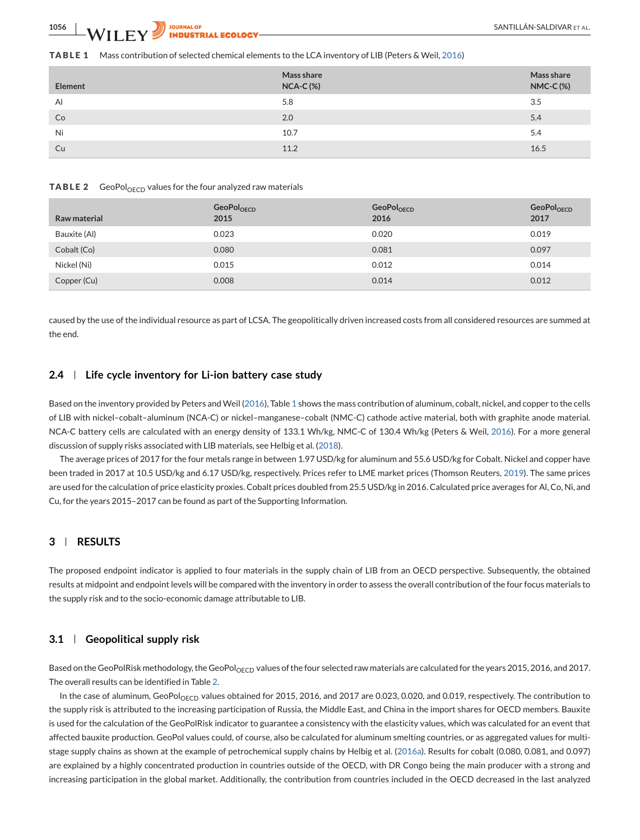#### <span id="page-5-0"></span>**TABLE 1** Mass contribution of selected chemical elements to the LCA inventory of LIB (Peters & Weil, [2016\)](#page-10-0)

| Element | Mass share<br>$NCA-C$ (%) | Mass share<br><b>NMC-C(%)</b> |
|---------|---------------------------|-------------------------------|
| Al      | 5.8                       | 3.5                           |
| Co      | 2.0                       | 5.4                           |
| Ni      | 10.7                      | 5.4                           |
| Cu      | 11.2                      | 16.5                          |

#### **TABLE 2** GeoPol<sub>OECD</sub> values for the four analyzed raw materials

| Raw material | GeoPol <sub>OECD</sub><br>2015 | GeoPol <sub>OECD</sub><br>2016 | GeoPol <sub>OECD</sub><br>2017 |
|--------------|--------------------------------|--------------------------------|--------------------------------|
| Bauxite (AI) | 0.023                          | 0.020                          | 0.019                          |
| Cobalt (Co)  | 0.080                          | 0.081                          | 0.097                          |
| Nickel (Ni)  | 0.015                          | 0.012                          | 0.014                          |
| Copper (Cu)  | 0.008                          | 0.014                          | 0.012                          |

caused by the use of the individual resource as part of LCSA. The geopolitically driven increased costs from all considered resources are summed at the end.

#### **2.4 Life cycle inventory for Li-ion battery case study**

Based on the inventory provided by Peters and Weil [\(2016\)](#page-10-0), Table 1 shows the mass contribution of aluminum, cobalt, nickel, and copper to the cells of LIB with nickel–cobalt–aluminum (NCA-C) or nickel–manganese–cobalt (NMC-C) cathode active material, both with graphite anode material. NCA-C battery cells are calculated with an energy density of 133.1 Wh/kg, NMC-C of 130.4 Wh/kg (Peters & Weil, [2016\)](#page-10-0). For a more general discussion of supply risks associated with LIB materials, see Helbig et al. [\(2018\)](#page-10-0).

The average prices of 2017 for the four metals range in between 1.97 USD/kg for aluminum and 55.6 USD/kg for Cobalt. Nickel and copper have been traded in 2017 at 10.5 USD/kg and 6.17 USD/kg, respectively. Prices refer to LME market prices (Thomson Reuters, [2019\)](#page-11-0). The same prices are used for the calculation of price elasticity proxies. Cobalt prices doubled from 25.5 USD/kg in 2016. Calculated price averages for Al, Co, Ni, and Cu, for the years 2015–2017 can be found as part of the Supporting Information.

# **3 RESULTS**

The proposed endpoint indicator is applied to four materials in the supply chain of LIB from an OECD perspective. Subsequently, the obtained results at midpoint and endpoint levels will be compared with the inventory in order to assess the overall contribution of the four focus materials to the supply risk and to the socio-economic damage attributable to LIB.

## **3.1 Geopolitical supply risk**

Based on the GeoPolRisk methodology, the GeoPol<sub>OECD</sub> values of the four selected raw materials are calculated for the years 2015, 2016, and 2017. The overall results can be identified in Table 2.

In the case of aluminum, GeoPol<sub>OECD</sub> values obtained for 2015, 2016, and 2017 are 0.023, 0.020, and 0.019, respectively. The contribution to the supply risk is attributed to the increasing participation of Russia, the Middle East, and China in the import shares for OECD members. Bauxite is used for the calculation of the GeoPolRisk indicator to guarantee a consistency with the elasticity values, which was calculated for an event that affected bauxite production. GeoPol values could, of course, also be calculated for aluminum smelting countries, or as aggregated values for multistage supply chains as shown at the example of petrochemical supply chains by Helbig et al. [\(2016a\)](#page-10-0). Results for cobalt (0.080, 0.081, and 0.097) are explained by a highly concentrated production in countries outside of the OECD, with DR Congo being the main producer with a strong and increasing participation in the global market. Additionally, the contribution from countries included in the OECD decreased in the last analyzed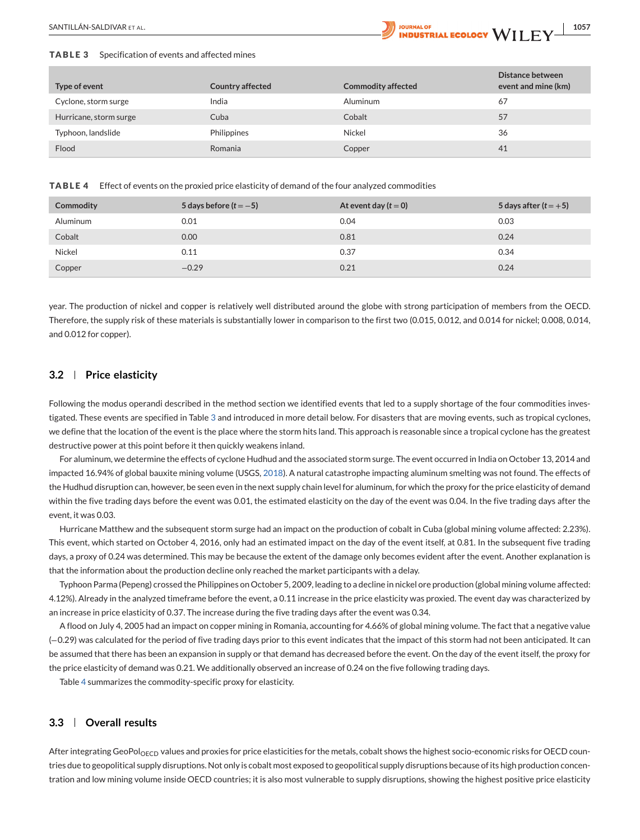<span id="page-6-0"></span>

#### **TABLE 3** Specification of events and affected mines

| Type of event          | <b>Country affected</b> | <b>Commodity affected</b> | Distance between<br>event and mine (km) |
|------------------------|-------------------------|---------------------------|-----------------------------------------|
| Cyclone, storm surge   | India                   | Aluminum                  | 67                                      |
| Hurricane, storm surge | Cuba                    | Cobalt                    | 57                                      |
| Typhoon, landslide     | Philippines             | Nickel                    | 36                                      |
| Flood                  | Romania                 | Copper                    | 41                                      |

**TABLE 4** Effect of events on the proxied price elasticity of demand of the four analyzed commodities

| Commodity       | 5 days before $(t = -5)$ | At event day $(t=0)$ | 5 days after ( $t = +5$ ) |
|-----------------|--------------------------|----------------------|---------------------------|
| <b>Aluminum</b> | 0.01                     | 0.04                 | 0.03                      |
| Cobalt          | 0.00                     | 0.81                 | 0.24                      |
| Nickel          | 0.11                     | 0.37                 | 0.34                      |
| Copper          | $-0.29$                  | 0.21                 | 0.24                      |

year. The production of nickel and copper is relatively well distributed around the globe with strong participation of members from the OECD. Therefore, the supply risk of these materials is substantially lower in comparison to the first two (0.015, 0.012, and 0.014 for nickel; 0.008, 0.014, and 0.012 for copper).

# **3.2 Price elasticity**

Following the modus operandi described in the method section we identified events that led to a supply shortage of the four commodities investigated. These events are specified in Table 3 and introduced in more detail below. For disasters that are moving events, such as tropical cyclones, we define that the location of the event is the place where the storm hits land. This approach is reasonable since a tropical cyclone has the greatest destructive power at this point before it then quickly weakens inland.

For aluminum, we determine the effects of cyclone Hudhud and the associated storm surge. The event occurred in India on October 13, 2014 and impacted 16.94% of global bauxite mining volume (USGS, [2018\)](#page-11-0). A natural catastrophe impacting aluminum smelting was not found. The effects of the Hudhud disruption can, however, be seen even in the next supply chain level for aluminum, for which the proxy for the price elasticity of demand within the five trading days before the event was 0.01, the estimated elasticity on the day of the event was 0.04. In the five trading days after the event, it was 0.03.

Hurricane Matthew and the subsequent storm surge had an impact on the production of cobalt in Cuba (global mining volume affected: 2.23%). This event, which started on October 4, 2016, only had an estimated impact on the day of the event itself, at 0.81. In the subsequent five trading days, a proxy of 0.24 was determined. This may be because the extent of the damage only becomes evident after the event. Another explanation is that the information about the production decline only reached the market participants with a delay.

Typhoon Parma (Pepeng) crossed the Philippines on October 5, 2009, leading to a decline in nickel ore production (global mining volume affected: 4.12%). Already in the analyzed timeframe before the event, a 0.11 increase in the price elasticity was proxied. The event day was characterized by an increase in price elasticity of 0.37. The increase during the five trading days after the event was 0.34.

A flood on July 4, 2005 had an impact on copper mining in Romania, accounting for 4.66% of global mining volume. The fact that a negative value (−0.29) was calculated for the period of five trading days prior to this event indicates that the impact of this storm had not been anticipated. It can be assumed that there has been an expansion in supply or that demand has decreased before the event. On the day of the event itself, the proxy for the price elasticity of demand was 0.21. We additionally observed an increase of 0.24 on the five following trading days.

Table 4 summarizes the commodity-specific proxy for elasticity.

# **3.3 Overall results**

After integrating GeoPol<sub>OECD</sub> values and proxies for price elasticities for the metals, cobalt shows the highest socio-economic risks for OECD countries due to geopolitical supply disruptions. Not only is cobalt most exposed to geopolitical supply disruptions because of its high production concentration and low mining volume inside OECD countries; it is also most vulnerable to supply disruptions, showing the highest positive price elasticity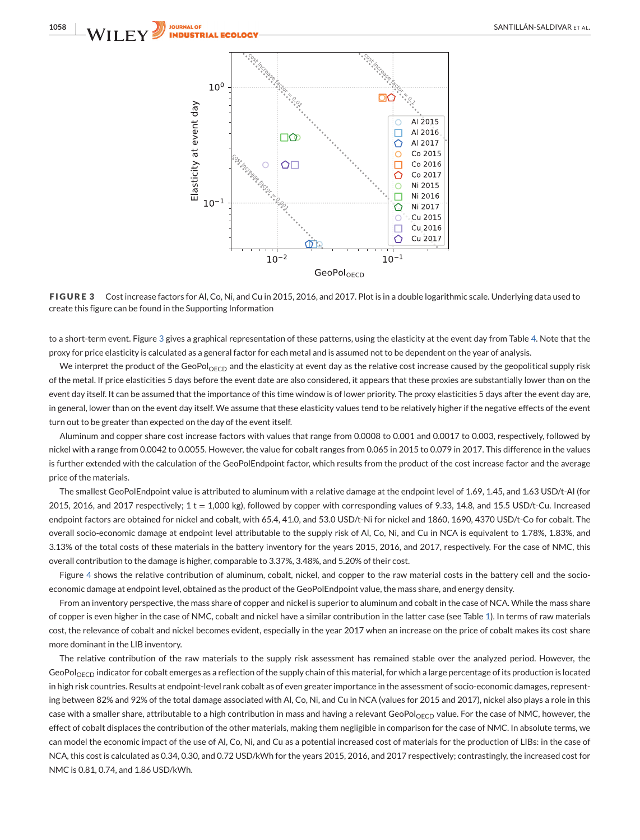

**FIGURE 3** Cost increase factors for Al, Co, Ni, and Cu in 2015, 2016, and 2017. Plot is in a double logarithmic scale. Underlying data used to create this figure can be found in the Supporting Information

to a short-term event. Figure 3 gives a graphical representation of these patterns, using the elasticity at the event day from Table [4.](#page-6-0) Note that the proxy for price elasticity is calculated as a general factor for each metal and is assumed not to be dependent on the year of analysis.

We interpret the product of the GeoPol<sub>OECD</sub> and the elasticity at event day as the relative cost increase caused by the geopolitical supply risk of the metal. If price elasticities 5 days before the event date are also considered, it appears that these proxies are substantially lower than on the event day itself. It can be assumed that the importance of this time window is of lower priority. The proxy elasticities 5 days after the event day are, in general, lower than on the event day itself. We assume that these elasticity values tend to be relatively higher if the negative effects of the event turn out to be greater than expected on the day of the event itself.

Aluminum and copper share cost increase factors with values that range from 0.0008 to 0.001 and 0.0017 to 0.003, respectively, followed by nickel with a range from 0.0042 to 0.0055. However, the value for cobalt ranges from 0.065 in 2015 to 0.079 in 2017. This difference in the values is further extended with the calculation of the GeoPolEndpoint factor, which results from the product of the cost increase factor and the average price of the materials.

The smallest GeoPolEndpoint value is attributed to aluminum with a relative damage at the endpoint level of 1.69, 1.45, and 1.63 USD/t-Al (for 2015, 2016, and 2017 respectively;  $1 t = 1,000$  kg), followed by copper with corresponding values of 9.33, 14.8, and 15.5 USD/t-Cu. Increased endpoint factors are obtained for nickel and cobalt, with 65.4, 41.0, and 53.0 USD/t-Ni for nickel and 1860, 1690, 4370 USD/t-Co for cobalt. The overall socio-economic damage at endpoint level attributable to the supply risk of Al, Co, Ni, and Cu in NCA is equivalent to 1.78%, 1.83%, and 3.13% of the total costs of these materials in the battery inventory for the years 2015, 2016, and 2017, respectively. For the case of NMC, this overall contribution to the damage is higher, comparable to 3.37%, 3.48%, and 5.20% of their cost.

Figure [4](#page-8-0) shows the relative contribution of aluminum, cobalt, nickel, and copper to the raw material costs in the battery cell and the socioeconomic damage at endpoint level, obtained as the product of the GeoPolEndpoint value, the mass share, and energy density.

From an inventory perspective, the mass share of copper and nickel is superior to aluminum and cobalt in the case of NCA. While the mass share of copper is even higher in the case of NMC, cobalt and nickel have a similar contribution in the latter case (see Table [1\)](#page-5-0). In terms of raw materials cost, the relevance of cobalt and nickel becomes evident, especially in the year 2017 when an increase on the price of cobalt makes its cost share more dominant in the LIB inventory.

The relative contribution of the raw materials to the supply risk assessment has remained stable over the analyzed period. However, the GeoPol<sub>OECD</sub> indicator for cobalt emerges as a reflection of the supply chain of this material, for which a large percentage of its production is located in high risk countries. Results at endpoint-level rank cobalt as of even greater importance in the assessment of socio-economic damages, representing between 82% and 92% of the total damage associated with Al, Co, Ni, and Cu in NCA (values for 2015 and 2017), nickel also plays a role in this case with a smaller share, attributable to a high contribution in mass and having a relevant GeoPol<sub>OECD</sub> value. For the case of NMC, however, the effect of cobalt displaces the contribution of the other materials, making them negligible in comparison for the case of NMC. In absolute terms, we can model the economic impact of the use of Al, Co, Ni, and Cu as a potential increased cost of materials for the production of LIBs: in the case of NCA, this cost is calculated as 0.34, 0.30, and 0.72 USD/kWh for the years 2015, 2016, and 2017 respectively; contrastingly, the increased cost for NMC is 0.81, 0.74, and 1.86 USD/kWh.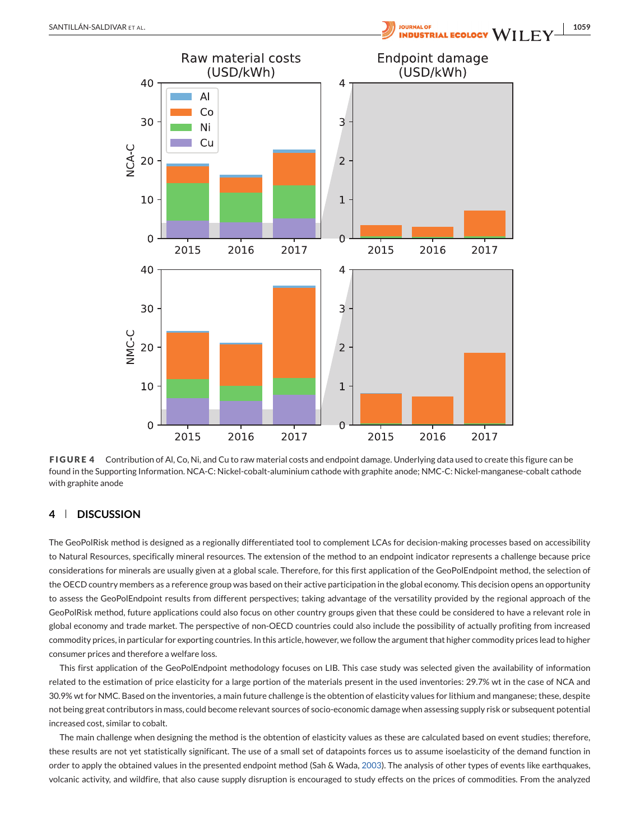<span id="page-8-0"></span>



# **4 DISCUSSION**

The GeoPolRisk method is designed as a regionally differentiated tool to complement LCAs for decision-making processes based on accessibility to Natural Resources, specifically mineral resources. The extension of the method to an endpoint indicator represents a challenge because price considerations for minerals are usually given at a global scale. Therefore, for this first application of the GeoPolEndpoint method, the selection of the OECD country members as a reference group was based on their active participation in the global economy. This decision opens an opportunity to assess the GeoPolEndpoint results from different perspectives; taking advantage of the versatility provided by the regional approach of the GeoPolRisk method, future applications could also focus on other country groups given that these could be considered to have a relevant role in global economy and trade market. The perspective of non-OECD countries could also include the possibility of actually profiting from increased commodity prices, in particular for exporting countries. In this article, however, we follow the argument that higher commodity prices lead to higher consumer prices and therefore a welfare loss.

This first application of the GeoPolEndpoint methodology focuses on LIB. This case study was selected given the availability of information related to the estimation of price elasticity for a large portion of the materials present in the used inventories: 29.7% wt in the case of NCA and 30.9% wt for NMC. Based on the inventories, a main future challenge is the obtention of elasticity values for lithium and manganese; these, despite not being great contributors in mass, could become relevant sources of socio-economic damage when assessing supply risk or subsequent potential increased cost, similar to cobalt.

The main challenge when designing the method is the obtention of elasticity values as these are calculated based on event studies; therefore, these results are not yet statistically significant. The use of a small set of datapoints forces us to assume isoelasticity of the demand function in order to apply the obtained values in the presented endpoint method (Sah & Wada, [2003\)](#page-10-0). The analysis of other types of events like earthquakes, volcanic activity, and wildfire, that also cause supply disruption is encouraged to study effects on the prices of commodities. From the analyzed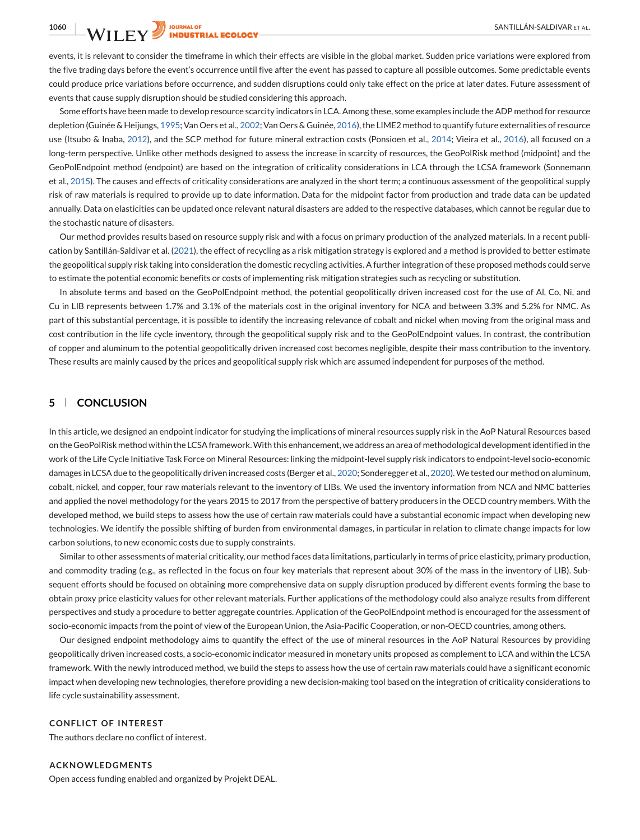events, it is relevant to consider the timeframe in which their effects are visible in the global market. Sudden price variations were explored from the five trading days before the event's occurrence until five after the event has passed to capture all possible outcomes. Some predictable events could produce price variations before occurrence, and sudden disruptions could only take effect on the price at later dates. Future assessment of events that cause supply disruption should be studied considering this approach.

Some efforts have been made to develop resource scarcity indicators in LCA. Among these, some examples include the ADP method for resource depletion (Guinée & Heijungs, [1995;](#page-10-0) Van Oers et al., [2002;](#page-11-0) Van Oers & Guinée, [2016\)](#page-11-0), the LIME2 method to quantify future externalities of resource use (Itsubo & Inaba, [2012\)](#page-10-0), and the SCP method for future mineral extraction costs (Ponsioen et al., [2014;](#page-10-0) Vieira et al., [2016\)](#page-11-0), all focused on a long-term perspective. Unlike other methods designed to assess the increase in scarcity of resources, the GeoPolRisk method (midpoint) and the GeoPolEndpoint method (endpoint) are based on the integration of criticality considerations in LCA through the LCSA framework (Sonnemann et al., [2015\)](#page-11-0). The causes and effects of criticality considerations are analyzed in the short term; a continuous assessment of the geopolitical supply risk of raw materials is required to provide up to date information. Data for the midpoint factor from production and trade data can be updated annually. Data on elasticities can be updated once relevant natural disasters are added to the respective databases, which cannot be regular due to the stochastic nature of disasters.

Our method provides results based on resource supply risk and with a focus on primary production of the analyzed materials. In a recent publication by Santillán-Saldivar et al. [\(2021\)](#page-11-0), the effect of recycling as a risk mitigation strategy is explored and a method is provided to better estimate the geopolitical supply risk taking into consideration the domestic recycling activities. A further integration of these proposed methods could serve to estimate the potential economic benefits or costs of implementing risk mitigation strategies such as recycling or substitution.

In absolute terms and based on the GeoPolEndpoint method, the potential geopolitically driven increased cost for the use of Al, Co, Ni, and Cu in LIB represents between 1.7% and 3.1% of the materials cost in the original inventory for NCA and between 3.3% and 5.2% for NMC. As part of this substantial percentage, it is possible to identify the increasing relevance of cobalt and nickel when moving from the original mass and cost contribution in the life cycle inventory, through the geopolitical supply risk and to the GeoPolEndpoint values. In contrast, the contribution of copper and aluminum to the potential geopolitically driven increased cost becomes negligible, despite their mass contribution to the inventory. These results are mainly caused by the prices and geopolitical supply risk which are assumed independent for purposes of the method.

# **5 CONCLUSION**

In this article, we designed an endpoint indicator for studying the implications of mineral resources supply risk in the AoP Natural Resources based on the GeoPolRisk method within the LCSA framework.With this enhancement, we address an area of methodological development identified in the work of the Life Cycle Initiative Task Force on Mineral Resources: linking the midpoint-level supply risk indicators to endpoint-level socio-economic damages in LCSA due to the geopolitically driven increased costs (Berger et al., [2020;](#page-10-0) Sonderegger et al., [2020\)](#page-11-0). We tested our method on aluminum, cobalt, nickel, and copper, four raw materials relevant to the inventory of LIBs. We used the inventory information from NCA and NMC batteries and applied the novel methodology for the years 2015 to 2017 from the perspective of battery producers in the OECD country members. With the developed method, we build steps to assess how the use of certain raw materials could have a substantial economic impact when developing new technologies. We identify the possible shifting of burden from environmental damages, in particular in relation to climate change impacts for low carbon solutions, to new economic costs due to supply constraints.

Similar to other assessments of material criticality, our method faces data limitations, particularly in terms of price elasticity, primary production, and commodity trading (e.g., as reflected in the focus on four key materials that represent about 30% of the mass in the inventory of LIB). Subsequent efforts should be focused on obtaining more comprehensive data on supply disruption produced by different events forming the base to obtain proxy price elasticity values for other relevant materials. Further applications of the methodology could also analyze results from different perspectives and study a procedure to better aggregate countries. Application of the GeoPolEndpoint method is encouraged for the assessment of socio-economic impacts from the point of view of the European Union, the Asia-Pacific Cooperation, or non-OECD countries, among others.

Our designed endpoint methodology aims to quantify the effect of the use of mineral resources in the AoP Natural Resources by providing geopolitically driven increased costs, a socio-economic indicator measured in monetary units proposed as complement to LCA and within the LCSA framework. With the newly introduced method, we build the steps to assess how the use of certain raw materials could have a significant economic impact when developing new technologies, therefore providing a new decision-making tool based on the integration of criticality considerations to life cycle sustainability assessment.

## **CONFLICT OF INTEREST**

The authors declare no conflict of interest.

#### **ACKNOWLEDGMENTS**

Open access funding enabled and organized by Projekt DEAL.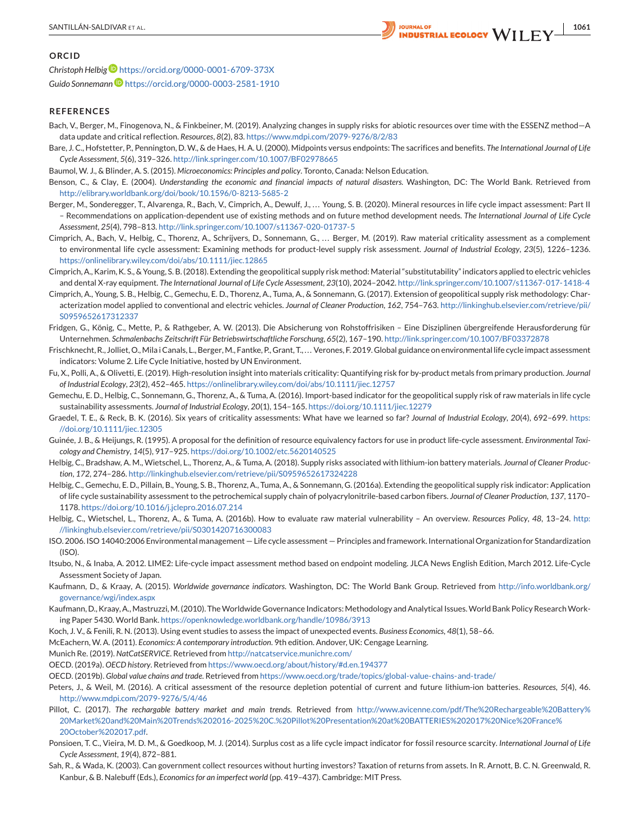<span id="page-10-0"></span>

## **ORCID**

*Christoph Helbig* <https://orcid.org/0000-0001-6709-373X> *Guido Sonneman[n](https://orcid.org/0000-0003-2581-1910)* <https://orcid.org/0000-0003-2581-1910>

#### **REFERENCES**

- Bach, V., Berger, M., Finogenova, N., & Finkbeiner, M. (2019). Analyzing changes in supply risks for abiotic resources over time with the ESSENZ method—A data update and critical reflection. *Resources*, *8*(2), 83. <https://www.mdpi.com/2079-9276/8/2/83>
- Bare, J. C., Hofstetter, P., Pennington, D. W., & de Haes, H. A. U. (2000). Midpoints versus endpoints: The sacrifices and benefits. *The International Journal of Life Cycle Assessment*, *5*(6), 319–326. <http://link.springer.com/10.1007/BF02978665>
- Baumol, W. J., & Blinder, A. S. (2015). *Microeconomics: Principles and policy*. Toronto, Canada: Nelson Education.
- Benson, C., & Clay, E. (2004). *Understanding the economic and financial impacts of natural disasters*. Washington, DC: The World Bank. Retrieved from <http://elibrary.worldbank.org/doi/book/10.1596/0-8213-5685-2>
- Berger, M., Sonderegger, T., Alvarenga, R., Bach, V., Cimprich, A., Dewulf, J., ... Young, S. B. (2020). Mineral resources in life cycle impact assessment: Part II – Recommendations on application-dependent use of existing methods and on future method development needs. *The International Journal of Life Cycle Assessment*, *25*(4), 798–813. <http://link.springer.com/10.1007/s11367-020-01737-5>
- Cimprich, A., Bach, V., Helbig, C., Thorenz, A., Schrijvers, D., Sonnemann, G., ... Berger, M. (2019). Raw material criticality assessment as a complement to environmental life cycle assessment: Examining methods for product-level supply risk assessment. *Journal of Industrial Ecology*, *23*(5), 1226–1236. <https://onlinelibrary.wiley.com/doi/abs/10.1111/jiec.12865>
- Cimprich, A., Karim, K. S., & Young, S. B. (2018). Extending the geopolitical supply risk method: Material "substitutability" indicators applied to electric vehicles and dental X-ray equipment. *The International Journal of Life Cycle Assessment*, *23*(10), 2024–2042. <http://link.springer.com/10.1007/s11367-017-1418-4>
- Cimprich, A., Young, S. B., Helbig, C., Gemechu, E. D., Thorenz, A., Tuma, A., & Sonnemann, G. (2017). Extension of geopolitical supply risk methodology: Characterization model applied to conventional and electric vehicles. *Journal of Cleaner Production*, *162*, 754–763. [http://linkinghub.elsevier.com/retrieve/pii/](http://linkinghub.elsevier.com/retrieve/pii/S0959652617312337) [S0959652617312337](http://linkinghub.elsevier.com/retrieve/pii/S0959652617312337)
- Fridgen, G., König, C., Mette, P., & Rathgeber, A. W. (2013). Die Absicherung von Rohstoffrisiken Eine Disziplinen übergreifende Herausforderung für Unternehmen. *Schmalenbachs Zeitschrift Für Betriebswirtschaftliche Forschung*, *65*(2), 167–190. <http://link.springer.com/10.1007/BF03372878>
- Frischknecht, R., Jolliet, O.,Mila i Canals, L., Berger,M., Fantke, P., Grant, T., . . . Verones, F. 2019. Global guidance on environmental life cycle impact assessment indicators: Volume 2. Life Cycle Initiative, hosted by UN Environment.
- Fu, X., Polli, A., & Olivetti, E. (2019). High-resolution insight into materials criticality: Quantifying risk for by-product metals from primary production. *Journal of Industrial Ecology*, *23*(2), 452–465. <https://onlinelibrary.wiley.com/doi/abs/10.1111/jiec.12757>
- Gemechu, E. D., Helbig, C., Sonnemann, G., Thorenz, A., & Tuma, A. (2016). Import-based indicator for the geopolitical supply risk of raw materials in life cycle sustainability assessments. *Journal of Industrial Ecology*, *20*(1), 154–165. <https://doi.org/10.1111/jiec.12279>
- Graedel, T. E., & Reck, B. K. (2016). Six years of criticality assessments: What have we learned so far? *Journal of Industrial Ecology*, *20*(4), 692–699. [https:](https://doi.org/10.1111/jiec.12305) [//doi.org/10.1111/jiec.12305](https://doi.org/10.1111/jiec.12305)
- Guinée, J. B., & Heijungs, R. (1995). A proposal for the definition of resource equivalency factors for use in product life-cycle assessment. *Environmental Toxicology and Chemistry*, *14*(5), 917–925. <https://doi.org/10.1002/etc.5620140525>
- Helbig, C., Bradshaw, A. M., Wietschel, L., Thorenz, A., & Tuma, A. (2018). Supply risks associated with lithium-ion battery materials. *Journal of Cleaner Production*, *172*, 274–286. <http://linkinghub.elsevier.com/retrieve/pii/S0959652617324228>
- Helbig, C., Gemechu, E. D., Pillain, B., Young, S. B., Thorenz, A., Tuma, A., & Sonnemann, G. (2016a). Extending the geopolitical supply risk indicator: Application of life cycle sustainability assessment to the petrochemical supply chain of polyacrylonitrile-based carbon fibers. *Journal of Cleaner Production*, *137*, 1170– 1178. <https://doi.org/10.1016/j.jclepro.2016.07.214>
- Helbig, C., Wietschel, L., Thorenz, A., & Tuma, A. (2016b). How to evaluate raw material vulnerability An overview. *Resources Policy*, *48*, 13–24. [http:](http://linkinghub.elsevier.com/retrieve/pii/S0301420716300083) [//linkinghub.elsevier.com/retrieve/pii/S0301420716300083](http://linkinghub.elsevier.com/retrieve/pii/S0301420716300083)
- ISO. 2006. ISO 14040:2006 Environmental management Life cycle assessment Principles and framework. International Organization for Standardization  $(ISO)$
- Itsubo, N., & Inaba, A. 2012. LIME2: Life-cycle impact assessment method based on endpoint modeling. JLCA News English Edition, March 2012. Life-Cycle Assessment Society of Japan.
- Kaufmann, D., & Kraay, A. (2015). *Worldwide governance indicators*. Washington, DC: The World Bank Group. Retrieved from [http://info.worldbank.org/](http://info.worldbank.org/governance/wgi/index.aspx) [governance/wgi/index.aspx](http://info.worldbank.org/governance/wgi/index.aspx)
- Kaufmann, D., Kraay, A., Mastruzzi, M. (2010). TheWorldwide Governance Indicators: Methodology and Analytical Issues.World Bank Policy ResearchWorking Paper 5430. World Bank. <https://openknowledge.worldbank.org/handle/10986/3913>
- Koch, J. V., & Fenili, R. N. (2013). Using event studies to assess the impact of unexpected events. *Business Economics*, *48*(1), 58–66.
- McEachern, W. A. (2011). *Economics: A contemporary introduction*. 9th edition. Andover, UK: Cengage Learning.
- Munich Re. (2019). *NatCatSERVICE*. Retrieved from <http://natcatservice.munichre.com/>
- OECD. (2019a). *OECD history*. Retrieved from <https://www.oecd.org/about/history/#d.en.194377>
- OECD. (2019b). *Global value chains and trade*. Retrieved from <https://www.oecd.org/trade/topics/global-value-chains-and-trade/>
- Peters, J., & Weil, M. (2016). A critical assessment of the resource depletion potential of current and future lithium-ion batteries. *Resources*, *5*(4), 46. <http://www.mdpi.com/2079-9276/5/4/46>
- Pillot, C. (2017). *The rechargable battery market and main trends*. Retrieved from [http://www.avicenne.com/pdf/The%20Rechargeable%20Battery%](http://www.avicenne.com/pdf/The%20Rechargeable%20Battery%20Market%20and%20Main%20Trends%202016-2025%20C.%20Pillot%20Presentation%20at%20BATTERIES%202017%20Nice%20France%20October%202017.pdf) [20Market%20and%20Main%20Trends%202016-2025%20C.%20Pillot%20Presentation%20at%20BATTERIES%202017%20Nice%20France%](http://www.avicenne.com/pdf/The%20Rechargeable%20Battery%20Market%20and%20Main%20Trends%202016-2025%20C.%20Pillot%20Presentation%20at%20BATTERIES%202017%20Nice%20France%20October%202017.pdf) [20October%202017.pdf.](http://www.avicenne.com/pdf/The%20Rechargeable%20Battery%20Market%20and%20Main%20Trends%202016-2025%20C.%20Pillot%20Presentation%20at%20BATTERIES%202017%20Nice%20France%20October%202017.pdf)
- Ponsioen, T. C., Vieira, M. D. M., & Goedkoop, M. J. (2014). Surplus cost as a life cycle impact indicator for fossil resource scarcity. *International Journal of Life Cycle Assessment*, *19*(4), 872–881.
- Sah, R., & Wada, K. (2003). Can government collect resources without hurting investors? Taxation of returns from assets. In R. Arnott, B. C. N. Greenwald, R. Kanbur, & B. Nalebuff (Eds.), *Economics for an imperfect world* (pp. 419–437). Cambridge: MIT Press.